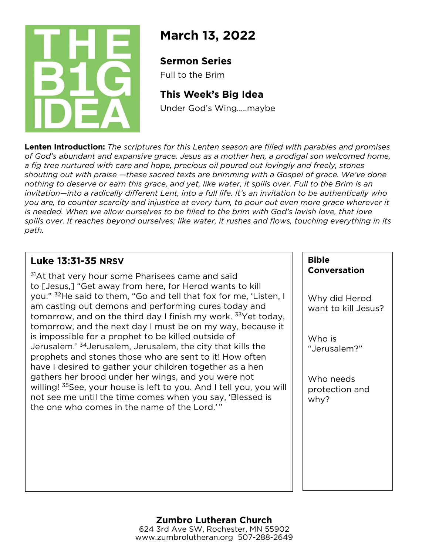

# **March 13, 2022**

## **Sermon Series**

Full to the Brim

## **This Week's Big Idea**

Under God's Wing…..maybe

**Lenten Introduction:** *The scriptures for this Lenten season are filled with parables and promises of God's abundant and expansive grace. Jesus as a mother hen, a prodigal son welcomed home, a fig tree nurtured with care and hope, precious oil poured out lovingly and freely, stones shouting out with praise —these sacred texts are brimming with a Gospel of grace. We've done nothing to deserve or earn this grace, and yet, like water, it spills over. Full to the Brim is an invitation—into a radically different Lent, into a full life. It's an invitation to be authentically who you are, to counter scarcity and injustice at every turn, to pour out even more grace wherever it*  is needed. When we allow ourselves to be filled to the brim with God's lavish love, that love *spills over. It reaches beyond ourselves; like water, it rushes and flows, touching everything in its path.*

## **Luke 13:31-35 NRSV**

<sup>31</sup>At that very hour some Pharisees came and said to [Jesus,] "Get away from here, for Herod wants to kill you." 32He said to them, "Go and tell that fox for me, 'Listen, I am casting out demons and performing cures today and tomorrow, and on the third day I finish my work. <sup>33</sup>Yet today, tomorrow, and the next day I must be on my way, because it is impossible for a prophet to be killed outside of Jerusalem.' 34Jerusalem, Jerusalem, the city that kills the prophets and stones those who are sent to it! How often have I desired to gather your children together as a hen gathers her brood under her wings, and you were not willing! <sup>35</sup>See, your house is left to you. And I tell you, you will not see me until the time comes when you say, 'Blessed is the one who comes in the name of the Lord.'"

#### **Bible Conversation**

Why did Herod want to kill Jesus?

Who is "Jerusalem?"

Who needs protection and why?

#### **Zumbro Lutheran Church** 624 3rd Ave SW, Rochester, MN 55902 www.zumbrolutheran.org 507-288-2649